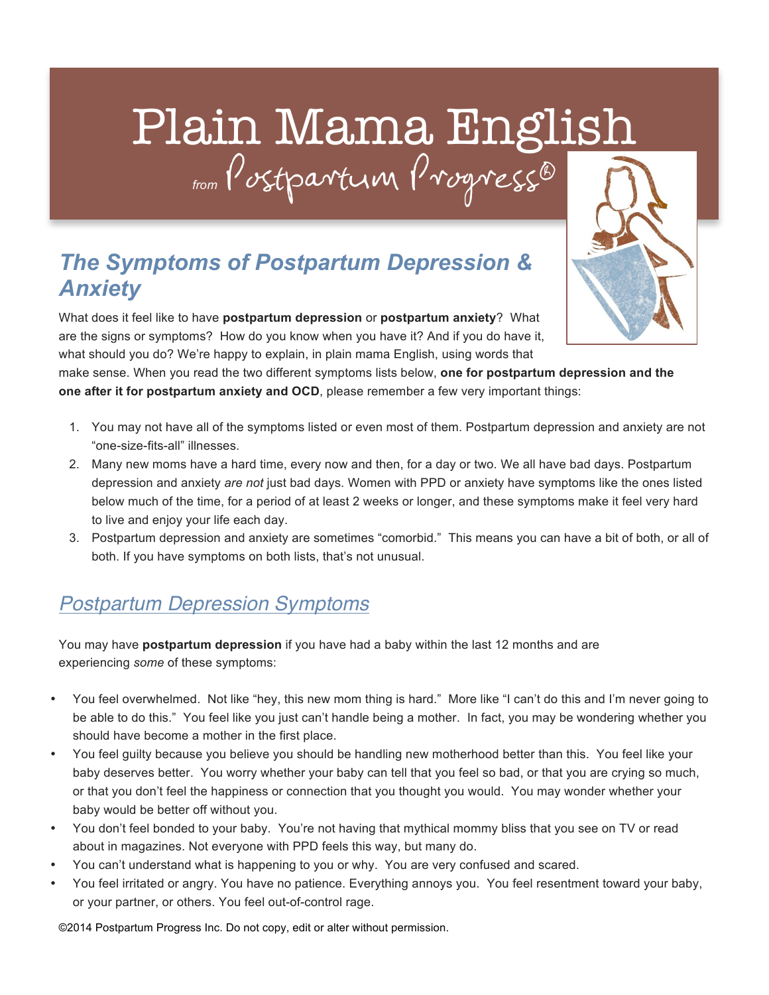# Plain Mama English *from* Postpartum Progress®

### *The Symptoms of Postpartum Depression & Anxiety*

What does it feel like to have **postpartum depression** or **postpartum anxiety**? What are the signs or symptoms? How do you know when you have it? And if you do have it, what should you do? We're happy to explain, in plain mama English, using words that

make sense. When you read the two different symptoms lists below, **one for postpartum depression and the one after it for postpartum anxiety and OCD**, please remember a few very important things:

- 1. You may not have all of the symptoms listed or even most of them. Postpartum depression and anxiety are not "one-size-fits-all" illnesses.
- 2. Many new moms have a hard time, every now and then, for a day or two. We all have bad days. Postpartum depression and anxiety *are not* just bad days. Women with PPD or anxiety have symptoms like the ones listed below much of the time, for a period of at least 2 weeks or longer, and these symptoms make it feel very hard to live and enjoy your life each day.
- 3. Postpartum depression and anxiety are sometimes "comorbid." This means you can have a bit of both, or all of both. If you have symptoms on both lists, that's not unusual.

#### *Postpartum Depression Symptoms*

You may have **postpartum depression** if you have had a baby within the last 12 months and are experiencing *some* of these symptoms:

- You feel overwhelmed. Not like "hey, this new mom thing is hard." More like "I can't do this and I'm never going to be able to do this." You feel like you just can't handle being a mother. In fact, you may be wondering whether you should have become a mother in the first place.
- You feel guilty because you believe you should be handling new motherhood better than this. You feel like your baby deserves better. You worry whether your baby can tell that you feel so bad, or that you are crying so much, or that you don't feel the happiness or connection that you thought you would. You may wonder whether your baby would be better off without you.
- You don't feel bonded to your baby. You're not having that mythical mommy bliss that you see on TV or read about in magazines. Not everyone with PPD feels this way, but many do.
- You can't understand what is happening to you or why. You are very confused and scared.
- You feel irritated or angry. You have no patience. Everything annoys you. You feel resentment toward your baby, or your partner, or others. You feel out-of-control rage.

©2014 Postpartum Progress Inc. Do not copy, edit or alter without permission.

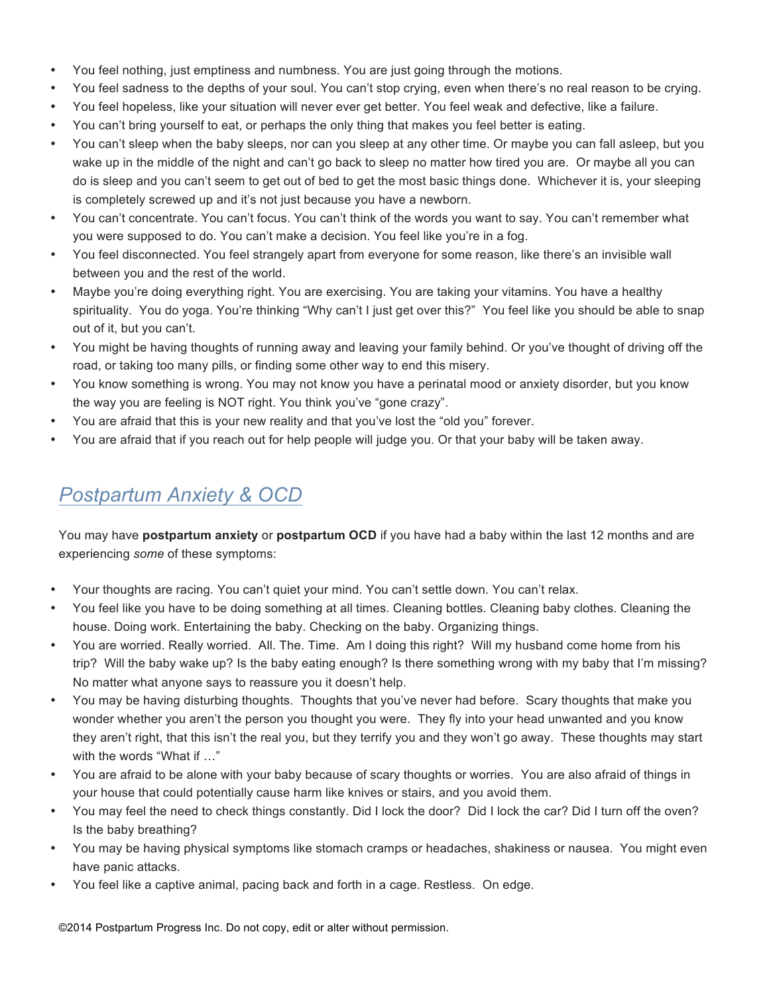- You feel nothing, just emptiness and numbness. You are just going through the motions.
- You feel sadness to the depths of your soul. You can't stop crying, even when there's no real reason to be crying.
- You feel hopeless, like your situation will never ever get better. You feel weak and defective, like a failure.
- You can't bring yourself to eat, or perhaps the only thing that makes you feel better is eating.
- You can't sleep when the baby sleeps, nor can you sleep at any other time. Or maybe you can fall asleep, but you wake up in the middle of the night and can't go back to sleep no matter how tired you are. Or maybe all you can do is sleep and you can't seem to get out of bed to get the most basic things done. Whichever it is, your sleeping is completely screwed up and it's not just because you have a newborn.
- You can't concentrate. You can't focus. You can't think of the words you want to say. You can't remember what you were supposed to do. You can't make a decision. You feel like you're in a fog.
- You feel disconnected. You feel strangely apart from everyone for some reason, like there's an invisible wall between you and the rest of the world.
- Maybe you're doing everything right. You are exercising. You are taking your vitamins. You have a healthy spirituality. You do yoga. You're thinking "Why can't I just get over this?" You feel like you should be able to snap out of it, but you can't.
- You might be having thoughts of running away and leaving your family behind. Or you've thought of driving off the road, or taking too many pills, or finding some other way to end this misery.
- You know something is wrong. You may not know you have a perinatal mood or anxiety disorder, but you know the way you are feeling is NOT right. You think you've "gone crazy".
- You are afraid that this is your new reality and that you've lost the "old you" forever.
- You are afraid that if you reach out for help people will judge you. Or that your baby will be taken away.

#### *Postpartum Anxiety & OCD*

You may have **postpartum anxiety** or **postpartum OCD** if you have had a baby within the last 12 months and are experiencing *some* of these symptoms:

- Your thoughts are racing. You can't quiet your mind. You can't settle down. You can't relax.
- You feel like you have to be doing something at all times. Cleaning bottles. Cleaning baby clothes. Cleaning the house. Doing work. Entertaining the baby. Checking on the baby. Organizing things.
- You are worried. Really worried. All. The. Time. Am I doing this right? Will my husband come home from his trip? Will the baby wake up? Is the baby eating enough? Is there something wrong with my baby that I'm missing? No matter what anyone says to reassure you it doesn't help.
- You may be having disturbing thoughts. Thoughts that you've never had before. Scary thoughts that make you wonder whether you aren't the person you thought you were. They fly into your head unwanted and you know they aren't right, that this isn't the real you, but they terrify you and they won't go away. These thoughts may start with the words "What if …"
- You are afraid to be alone with your baby because of scary thoughts or worries. You are also afraid of things in your house that could potentially cause harm like knives or stairs, and you avoid them.
- You may feel the need to check things constantly. Did I lock the door? Did I lock the car? Did I turn off the oven? Is the baby breathing?
- You may be having physical symptoms like stomach cramps or headaches, shakiness or nausea. You might even have panic attacks.
- You feel like a captive animal, pacing back and forth in a cage. Restless. On edge.

©2014 Postpartum Progress Inc. Do not copy, edit or alter without permission.